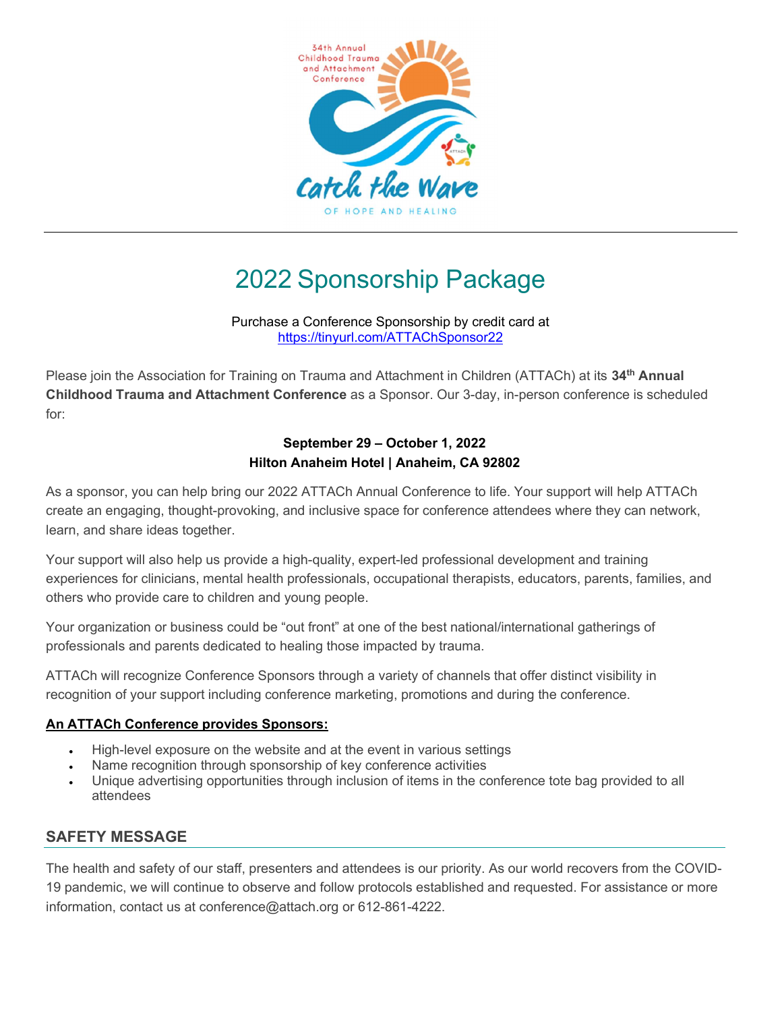

# 2022 Sponsorship Package

Purchase a Conference Sponsorship by credit card at https://tinyurl.com/ATTAChSponsor22

Please join the Association for Training on Trauma and Attachment in Children (ATTACh) at its 34<sup>th</sup> Annual Childhood Trauma and Attachment Conference as a Sponsor. Our 3-day, in-person conference is scheduled for:

#### September 29 – October 1, 2022 Hilton Anaheim Hotel | Anaheim, CA 92802

As a sponsor, you can help bring our 2022 ATTACh Annual Conference to life. Your support will help ATTACh create an engaging, thought-provoking, and inclusive space for conference attendees where they can network, learn, and share ideas together.

Your support will also help us provide a high-quality, expert-led professional development and training experiences for clinicians, mental health professionals, occupational therapists, educators, parents, families, and others who provide care to children and young people.

Your organization or business could be "out front" at one of the best national/international gatherings of professionals and parents dedicated to healing those impacted by trauma.

ATTACh will recognize Conference Sponsors through a variety of channels that offer distinct visibility in recognition of your support including conference marketing, promotions and during the conference.

#### An ATTACh Conference provides Sponsors:

- High-level exposure on the website and at the event in various settings
- Name recognition through sponsorship of key conference activities
- Unique advertising opportunities through inclusion of items in the conference tote bag provided to all attendees

### SAFETY MESSAGE

The health and safety of our staff, presenters and attendees is our priority. As our world recovers from the COVID-19 pandemic, we will continue to observe and follow protocols established and requested. For assistance or more information, contact us at conference@attach.org or 612-861-4222.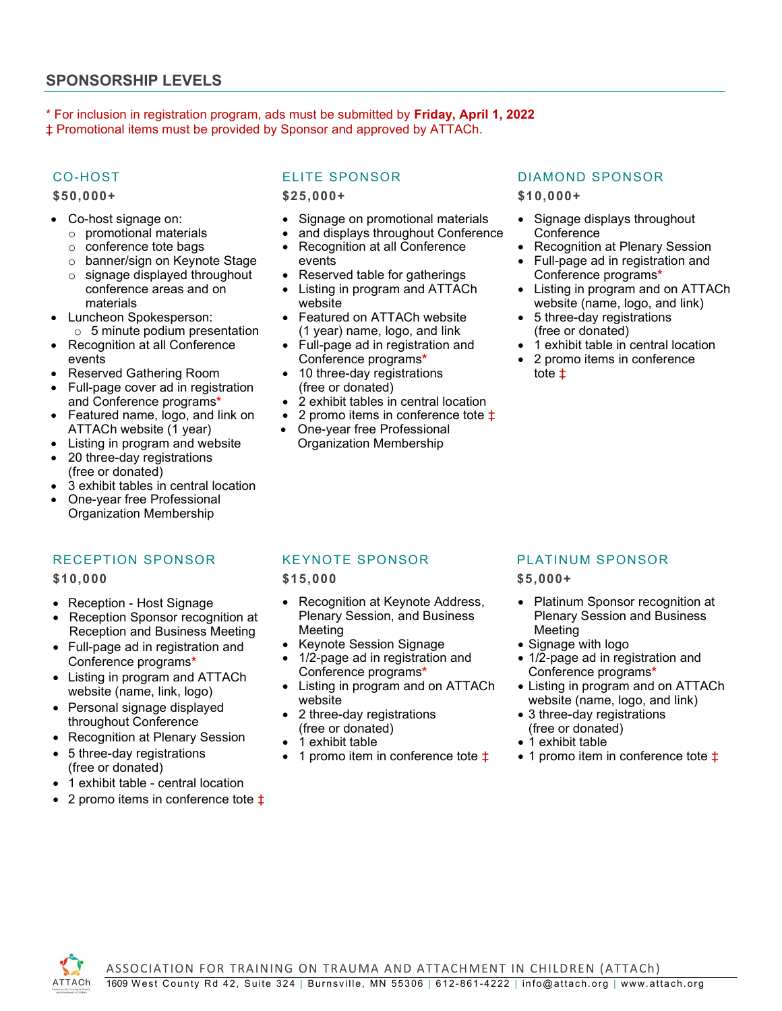#### SPONSORSHIP LEVELS

\* For inclusion in registration program, ads must be submitted by Friday, April 1, 2022 ‡ Promotional items must be provided by Sponsor and approved by ATTACh.

#### CO-HOST

\$50,000+

- Co-host signage on:
	- o promotional materials
	- o conference tote bags
	- o banner/sign on Keynote Stage
	- o signage displayed throughout conference areas and on materials
- Luncheon Spokesperson:
- o 5 minute podium presentation
- Recognition at all Conference events
- Reserved Gathering Room
- Full-page cover ad in registration and Conference programs\*
- Featured name, logo, and link on ATTACh website (1 year)
- Listing in program and website
- 20 three-day registrations (free or donated)
- 3 exhibit tables in central location
- One-year free Professional Organization Membership

#### RECEPTION SPONSOR

\$10,000

- Reception Host Signage
- Reception Sponsor recognition at Reception and Business Meeting
- Full-page ad in registration and Conference programs\*
- Listing in program and ATTACh website (name, link, logo)
- Personal signage displayed throughout Conference
- Recognition at Plenary Session
- 5 three-day registrations (free or donated)
- 1 exhibit table central location
- 2 promo items in conference tote ‡

#### ELITE SPONSOR

\$25,000+

- Signage on promotional materials
- and displays throughout Conference
- Recognition at all Conference events
- Reserved table for gatherings
- Listing in program and ATTACh website
- Featured on ATTACh website (1 year) name, logo, and link
- Full-page ad in registration and Conference programs\*
- 10 three-day registrations (free or donated)
- 2 exhibit tables in central location
- 2 promo items in conference tote ‡
- One-year free Professional Organization Membership

#### DIAMOND SPONSOR

\$10,000+

- Signage displays throughout **Conference**
- Recognition at Plenary Session
- Full-page ad in registration and Conference programs\*
- Listing in program and on ATTACh website (name, logo, and link)
- 5 three-day registrations (free or donated)
- 1 exhibit table in central location
- 2 promo items in conference tote ‡

#### KEYNOTE SPONSOR

\$15,000

- Recognition at Keynote Address, Plenary Session, and Business **Meeting**
- Keynote Session Signage
- 1/2-page ad in registration and Conference programs\*
- Listing in program and on ATTACh website
- 2 three-day registrations (free or donated)
- 1 exhibit table
- 1 promo item in conference tote  $\ddagger$

#### PLATINUM SPONSOR

\$5,000+

- Platinum Sponsor recognition at Plenary Session and Business Meeting
- Signage with logo
- 1/2-page ad in registration and Conference programs\*
- Listing in program and on ATTACh website (name, logo, and link)
- 3 three-day registrations (free or donated)
- 1 exhibit table
- 1 promo item in conference tote  $\ddagger$

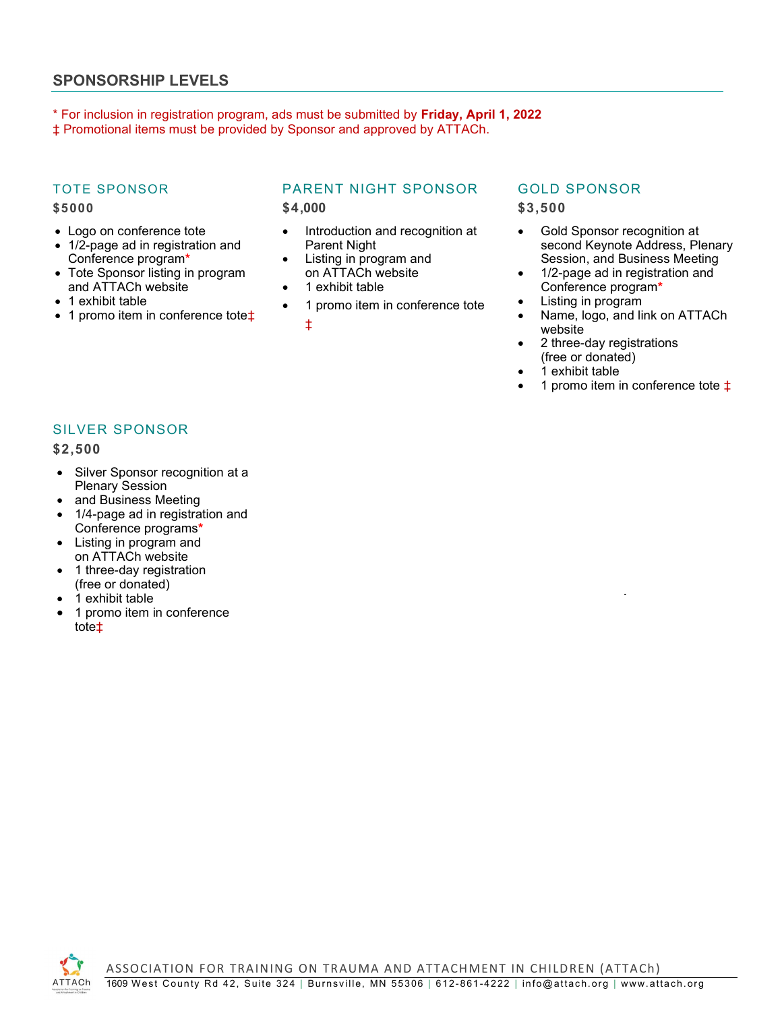#### SPONSORSHIP LEVELS

\* For inclusion in registration program, ads must be submitted by Friday, April 1, 2022 ‡ Promotional items must be provided by Sponsor and approved by ATTACh.

#### TOTE SPONSOR

#### \$5000

- Logo on conference tote
- 1/2-page ad in registration and Conference program\*
- Tote Sponsor listing in program and ATTACh website
- 1 exhibit table
- 1 promo item in conference tote<sup> $±$ </sup>

# PARENT NIGHT SPONSOR

\$4,000

- Introduction and recognition at Parent Night
- Listing in program and on ATTACh website
- 1 exhibit table
- 1 promo item in conference tote

‡

## GOLD SPONSOR

\$3,500

- Gold Sponsor recognition at second Keynote Address, Plenary Session, and Business Meeting
- 1/2-page ad in registration and Conference program\*
- Listing in program
- Name, logo, and link on ATTACh website

.

- 2 three-day registrations
- (free or donated) 1 exhibit table
- 1 promo item in conference tote  $\ddagger$

SILVER SPONSOR

\$2,500

- Silver Sponsor recognition at a Plenary Session
- and Business Meeting
- 1/4-page ad in registration and Conference programs\*
- Listing in program and on ATTACh website
- 1 three-day registration (free or donated)
- 1 exhibit table
- 1 promo item in conference tote‡